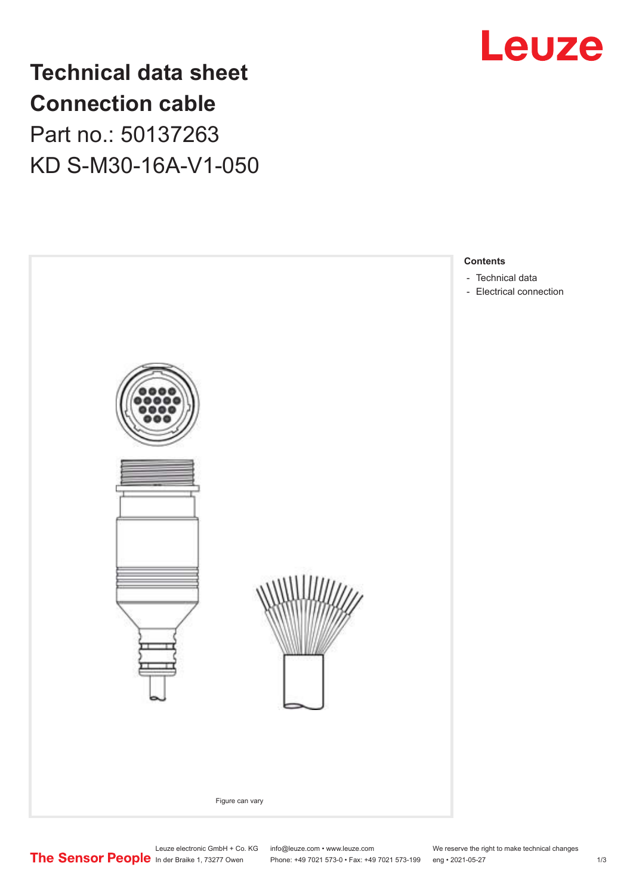

## **Technical data sheet Connection cable** Part no.: 50137263 KD S-M30-16A-V1-050



Leuze electronic GmbH + Co. KG info@leuze.com • www.leuze.com We reserve the right to make technical changes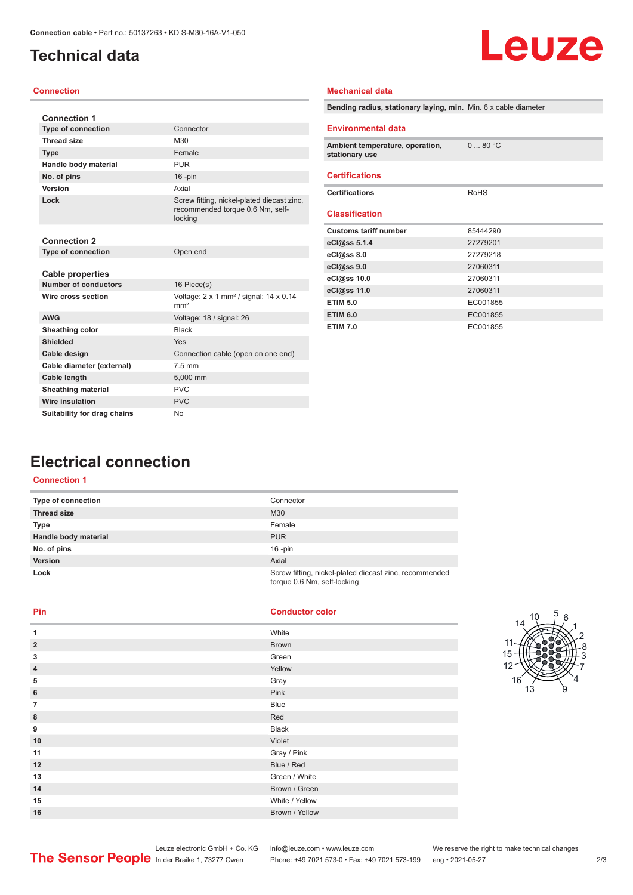## <span id="page-1-0"></span>**Technical data**

# Leuze

#### **Connection**

| <b>Connection 1</b>                                    |                                                                                           |
|--------------------------------------------------------|-------------------------------------------------------------------------------------------|
| <b>Type of connection</b>                              | Connector                                                                                 |
| <b>Thread size</b>                                     | M30                                                                                       |
| <b>Type</b>                                            | Female                                                                                    |
| Handle body material                                   | <b>PUR</b>                                                                                |
| No. of pins                                            | $16$ -pin                                                                                 |
| Version                                                | Axial                                                                                     |
| Lock                                                   | Screw fitting, nickel-plated diecast zinc,<br>recommended torque 0.6 Nm, self-<br>locking |
| <b>Connection 2</b>                                    |                                                                                           |
| <b>Type of connection</b>                              | Open end                                                                                  |
| <b>Cable properties</b><br><b>Number of conductors</b> | 16 Piece(s)                                                                               |
| Wire cross section                                     | Voltage: $2 \times 1$ mm <sup>2</sup> / signal: $14 \times 0.14$<br>mm <sup>2</sup>       |
| <b>AWG</b>                                             | Voltage: 18 / signal: 26                                                                  |
| Sheathing color                                        | <b>Black</b>                                                                              |
| Shielded                                               | Yes                                                                                       |
| Cable design                                           | Connection cable (open on one end)                                                        |
| Cable diameter (external)                              | $7.5$ mm                                                                                  |
| <b>Cable length</b>                                    | 5,000 mm                                                                                  |
| <b>Sheathing material</b>                              | <b>PVC</b>                                                                                |
| <b>Wire insulation</b>                                 | <b>PVC</b>                                                                                |
| Suitability for drag chains                            | <b>No</b>                                                                                 |

| Bending radius, stationary laying, min. Min. 6 x cable diameter |                 |
|-----------------------------------------------------------------|-----------------|
| <b>Environmental data</b>                                       |                 |
| Ambient temperature, operation,<br>stationary use               | $0 \dots 80$ °C |
| <b>Certifications</b>                                           |                 |
| <b>Certifications</b>                                           | RoHS            |
| <b>Classification</b>                                           |                 |
| <b>Customs tariff number</b>                                    | 85444290        |
| eCl@ss 5.1.4                                                    | 27279201        |
| $eC/\omega$ ss 8.0                                              | 27279218        |
| eCl@ss 9.0                                                      | 27060311        |
| eCl@ss 10.0                                                     | 27060311        |
| eCl@ss 11.0                                                     | 27060311        |
| <b>ETIM 5.0</b>                                                 | EC001855        |
| <b>ETIM 6.0</b>                                                 | EC001855        |
| <b>ETIM 7.0</b>                                                 | EC001855        |

**Mechanical data**

## **Electrical connection**

#### **Connection 1**

| Type of connection   | Connector                                                                             |
|----------------------|---------------------------------------------------------------------------------------|
| <b>Thread size</b>   | M30                                                                                   |
| <b>Type</b>          | Female                                                                                |
| Handle body material | <b>PUR</b>                                                                            |
| No. of pins          | $16$ -pin                                                                             |
| <b>Version</b>       | Axial                                                                                 |
| Lock                 | Screw fitting, nickel-plated diecast zinc, recommended<br>torque 0.6 Nm, self-locking |

**Pin Conductor color**

| 1              | White          |
|----------------|----------------|
| $\overline{2}$ | <b>Brown</b>   |
| 3              | Green          |
| $\overline{4}$ | Yellow         |
| 5              | Gray           |
| 6              | Pink           |
| $\overline{7}$ | <b>Blue</b>    |
| 8              | Red            |
| 9              | <b>Black</b>   |
| 10             | Violet         |
| 11             | Gray / Pink    |
| 12             | Blue / Red     |
| 13             | Green / White  |
| 14             | Brown / Green  |
| 15             | White / Yellow |
| 16             | Brown / Yellow |



Phone: +49 7021 573-0 • Fax: +49 7021 573-199 eng • 2021-05-27 273 2/3